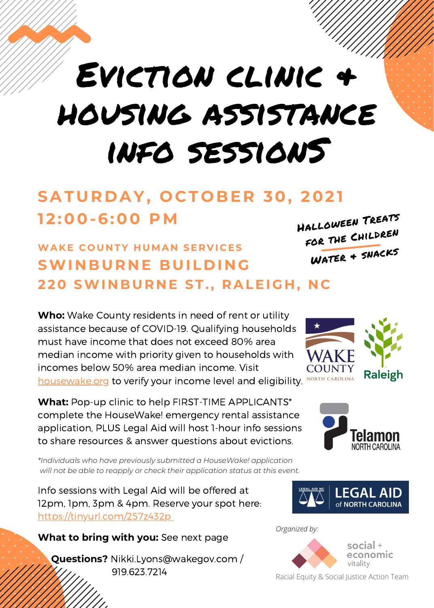

# Eviction clinic & housing assistance info sessionS

## **SATUR D AY, O C T O BE R 30, 202 1 1 2 :00-6:00 PM**

### **WAK E C O U N TY H UMA N SE R V I C ES SWI N BUR N E BUIL D I N G 2 20 SWI N BUR N E ST. , RALEIG H ,N C**

**Who:** Wake County residents in need of rent or utility assistance because of COVID-19. Qualifying households must have income that does not exceed 80% area median income with priority given to [households](https://housewake.org/#) with incomes below 50% area median income. Visit [housewake.org](https://housewake.org/) to verify your income level and eligibility. No

**What:** Pop-up clinic to help FIRST-TIME APPLICANTS\* complete the HouseWake! emergency rental assistance application, PLUS Legal Aid will host 1-hour info sessions to share resources & answer questions about evictions.

*\*Individuals who have previously submitted a HouseWake! application will not be able to reapply or check their application status at this event.*

Info sessions with Legal Aid will be offered at 12pm, 1pm, 3pm & 4pm. Reserve your spot here: <https://tinyurl.com/257z432p>

**What to bring with you:** See next page

**Questions?** Nikki.Lyons@wakegov.com / 919.623.7214







*Organized by:*



Racial Equity & Social Justice Action Team